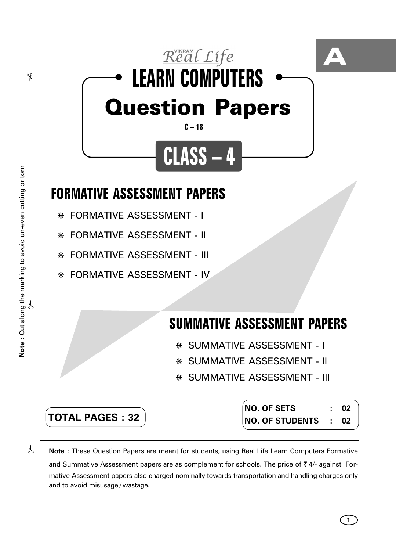

- ❋ FORMATIVE ASSESSMENT I
- ❋ FORMATIVE ASSESSMENT II
- ❋ FORMATIVE ASSESSMENT III
- ❋ FORMATIVE ASSESSMENT IV

## **SUMMATIVE ASSESSMENT PAPERS**

- ❋ SUMMATIVE ASSESSMENT I
- ❋ SUMMATIVE ASSESSMENT II
- ❋ SUMMATIVE ASSESSMENT III

**TOTAL PAGES : 32**

**NO. OF SETS : 02 NO. OF STUDENTS : 02**

**1**

**Note :** These Question Papers are meant for students, using Real Life Learn Computers Formative and Summative Assessment papers are as complement for schools. The price of  $\bar{\tau}$  4/- against Formative Assessment papers also charged nominally towards transportation and handling charges only and to avoid misusage / wastage.

 $\lambda$ 

✃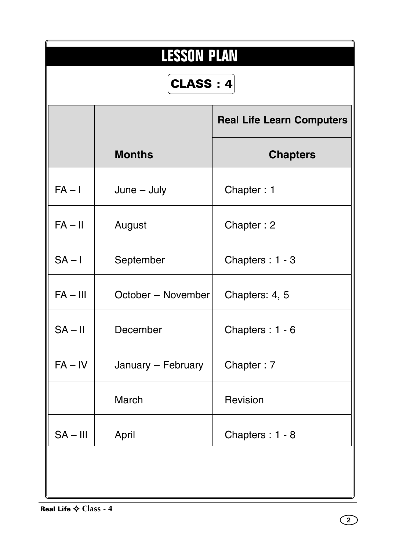| <b>LESSON PLAN</b><br>CLASS: 4 |                    |                                  |  |  |  |  |  |  |
|--------------------------------|--------------------|----------------------------------|--|--|--|--|--|--|
|                                |                    | <b>Real Life Learn Computers</b> |  |  |  |  |  |  |
|                                | <b>Months</b>      | <b>Chapters</b>                  |  |  |  |  |  |  |
| $FA - I$                       | $June - July$      | Chapter: 1                       |  |  |  |  |  |  |
| $FA - II$                      | August             | Chapter: 2                       |  |  |  |  |  |  |
| $SA - I$                       | September          | Chapters: 1 - 3                  |  |  |  |  |  |  |
| $FA - III$                     | October - November | Chapters: 4, 5                   |  |  |  |  |  |  |
| $SA - II$                      | December           | Chapters: 1 - 6                  |  |  |  |  |  |  |
| $FA - IV$                      | January - February | Chapter: 7                       |  |  |  |  |  |  |
|                                | March              | Revision                         |  |  |  |  |  |  |
| $SA - III$                     | April              | Chapters: 1 - 8                  |  |  |  |  |  |  |
|                                |                    |                                  |  |  |  |  |  |  |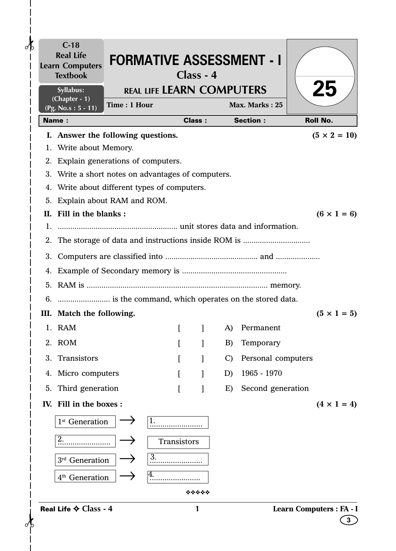| $C-18$<br><b>Real Life</b><br><b>Learn Computers</b><br><b>Textbook</b>                            |              |                                  | Class - 4     |               | <b>FORMATIVE ASSESSMENT - I</b> |                          |
|----------------------------------------------------------------------------------------------------|--------------|----------------------------------|---------------|---------------|---------------------------------|--------------------------|
| Syllabus:<br>(Chapter - 1)                                                                         |              | <b>REAL LIFE LEARN COMPUTERS</b> |               |               |                                 | <b>25</b>                |
| $(Pg. No.s: 5 - 11)$                                                                               | Time: 1 Hour |                                  |               |               | Max. Marks: 25                  |                          |
| <b>Name:</b>                                                                                       |              |                                  | <b>Class:</b> |               | <b>Section:</b>                 | <b>Roll No.</b>          |
| I. Answer the following questions.                                                                 |              |                                  |               |               |                                 | $(5 \times 2 = 10)$      |
| 1. Write about Memory.                                                                             |              |                                  |               |               |                                 |                          |
| 2. Explain generations of computers.                                                               |              |                                  |               |               |                                 |                          |
| 3. Write a short notes on advantages of computers.<br>4. Write about different types of computers. |              |                                  |               |               |                                 |                          |
| 5. Explain about RAM and ROM.                                                                      |              |                                  |               |               |                                 |                          |
| II. Fill in the blanks:                                                                            |              |                                  |               |               |                                 | $(6 \times 1 = 6)$       |
|                                                                                                    |              |                                  |               |               |                                 |                          |
|                                                                                                    |              |                                  |               |               |                                 |                          |
|                                                                                                    |              |                                  |               |               |                                 |                          |
|                                                                                                    |              |                                  |               |               |                                 |                          |
|                                                                                                    |              |                                  |               |               |                                 |                          |
|                                                                                                    |              |                                  |               |               |                                 |                          |
| III. Match the following.                                                                          |              |                                  |               |               |                                 | $(5 \times 1 = 5)$       |
| 1. RAM                                                                                             |              |                                  | $\mathbf{I}$  |               | A) Permanent                    |                          |
| 2. ROM                                                                                             |              |                                  |               |               |                                 |                          |
|                                                                                                    |              |                                  |               | B)            | Temporary                       |                          |
| 3. Transistors                                                                                     |              |                                  |               | $\mathcal{C}$ | Personal computers              |                          |
| 4. Micro computers                                                                                 |              |                                  |               | D)            | 1965 - 1970                     |                          |
| 5. Third generation                                                                                |              |                                  |               | E)            | Second generation               |                          |
| IV. Fill in the boxes:                                                                             |              |                                  |               |               |                                 | $(4 \times 1 = 4)$       |
| 1 <sup>st</sup> Generation                                                                         |              | 1.                               |               |               |                                 |                          |
|                                                                                                    |              | Transistors                      |               |               |                                 |                          |
| 3rd Generation                                                                                     |              | 3.                               |               |               |                                 |                          |
| 4 <sup>th</sup> Generation                                                                         |              | 4.                               |               |               |                                 |                          |
|                                                                                                    |              |                                  | *****         |               |                                 |                          |
| Real Life $\diamond$ Class - 4                                                                     |              |                                  | 1             |               |                                 | Learn Computers : FA - I |

 $\mathbf{I}$  $\mathbf l$  $\mathbf{I}$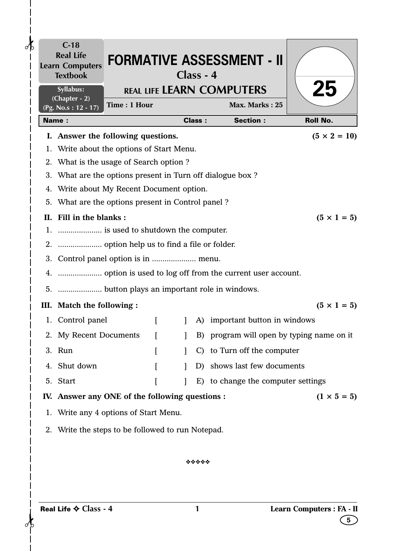| <b>Textbook</b><br>Syllabus:                               |                  |              | Class - 4     | <b>REAL LIFE LEARN COMPUTERS</b>          | <b>25</b>                 |
|------------------------------------------------------------|------------------|--------------|---------------|-------------------------------------------|---------------------------|
| (Chapter - 2)<br>Time: 1 Hour<br>(Pg. No.s: 12 - 17)       |                  |              |               | Max. Marks: 25                            |                           |
| <b>Name:</b>                                               |                  |              | <b>Class:</b> | <b>Section:</b>                           | <b>Roll No.</b>           |
| I. Answer the following questions.                         |                  |              |               |                                           | $(5 \times 2 = 10)$       |
| 1. Write about the options of Start Menu.                  |                  |              |               |                                           |                           |
| 2. What is the usage of Search option?                     |                  |              |               |                                           |                           |
| 3. What are the options present in Turn off dialogue box ? |                  |              |               |                                           |                           |
| 4. Write about My Recent Document option.                  |                  |              |               |                                           |                           |
| 5. What are the options present in Control panel?          |                  |              |               |                                           |                           |
| II. Fill in the blanks:                                    |                  |              |               |                                           | $(5 \times 1 = 5)$        |
|                                                            |                  |              |               |                                           |                           |
|                                                            |                  |              |               |                                           |                           |
|                                                            |                  |              |               |                                           |                           |
|                                                            |                  |              |               |                                           |                           |
|                                                            |                  |              |               |                                           |                           |
| III. Match the following :                                 |                  |              |               |                                           | $(5 \times 1 = 5)$        |
| 1. Control panel                                           | $\lceil$         | $\mathbf{I}$ | A)            | important button in windows               |                           |
| 2. My Recent Documents                                     |                  |              |               | B) program will open by typing name on it |                           |
| 3. Run                                                     | L                |              |               | C) to Turn off the computer               |                           |
| 4. Shut down                                               | $\left[ \right]$ |              |               | D) shows last few documents               |                           |
| 5. Start                                                   |                  | $\mathbf{I}$ |               | E) to change the computer settings        |                           |
| IV. Answer any ONE of the following questions :            |                  |              |               |                                           | $(1 \times 5 = 5)$        |
| 1. Write any 4 options of Start Menu.                      |                  |              |               |                                           |                           |
|                                                            |                  |              |               |                                           |                           |
| 2. Write the steps to be followed to run Notepad.          |                  |              |               |                                           |                           |
|                                                            |                  |              |               |                                           |                           |
|                                                            |                  |              | *****         |                                           |                           |
|                                                            |                  |              |               |                                           |                           |
| Real Life $\diamond$ Class - 4                             |                  |              | 1             |                                           | Learn Computers : FA - II |

 $\frac{1}{1}$ 

 $\frac{1}{1}$  $\mathsf{l}$  $\overline{\phantom{a}}$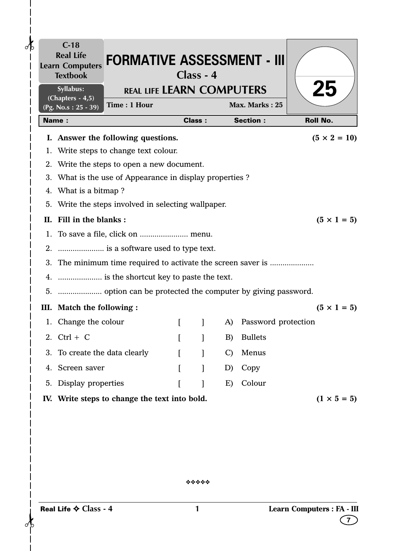| 25                  | Max. Marks: 25      |               |               |          | <b>REAL LIFE LEARN COMPUTERS</b><br>Time: 1 Hour             | Syllabus:<br>$(Chapters - 4, 5)$<br>(Pg. No.s: 25 - 39) |  |
|---------------------|---------------------|---------------|---------------|----------|--------------------------------------------------------------|---------------------------------------------------------|--|
| <b>Roll No.</b>     | <b>Section:</b>     |               | <b>Class:</b> |          |                                                              | <b>Name:</b>                                            |  |
| $(5 \times 2 = 10)$ |                     |               |               |          | I. Answer the following questions.                           |                                                         |  |
|                     |                     |               |               |          | 1. Write steps to change text colour.                        |                                                         |  |
|                     |                     |               |               |          | 2. Write the steps to open a new document.                   |                                                         |  |
|                     |                     |               |               |          | 3. What is the use of Appearance in display properties?      |                                                         |  |
|                     |                     |               |               |          |                                                              | 4. What is a bitmap?                                    |  |
|                     |                     |               |               |          | 5. Write the steps involved in selecting wallpaper.          |                                                         |  |
| $(5 \times 1 = 5)$  |                     |               |               |          |                                                              | II. Fill in the blanks:                                 |  |
|                     |                     |               |               |          |                                                              |                                                         |  |
|                     |                     |               |               |          | 2.  is a software used to type text.                         |                                                         |  |
|                     |                     |               |               |          | 3. The minimum time required to activate the screen saver is |                                                         |  |
|                     |                     |               |               |          | 4.  is the shortcut key to paste the text.                   |                                                         |  |
|                     |                     |               |               |          |                                                              |                                                         |  |
| $(5 \times 1 = 5)$  |                     |               |               |          |                                                              | III. Match the following :                              |  |
|                     | Password protection | A)            | $\mathbf{I}$  | $\Gamma$ |                                                              | 1. Change the colour                                    |  |
|                     | <b>Bullets</b>      | B)            |               |          |                                                              | 2. $Ctrl + C$                                           |  |
|                     | Menus               | $\mathcal{C}$ |               | $\Gamma$ |                                                              | 3. To create the data clearly                           |  |
|                     | Copy                | D)            |               | $\lceil$ |                                                              | 4. Screen saver                                         |  |
|                     | Colour              | E)            | 1             | $\Gamma$ |                                                              | 5. Display properties                                   |  |
| $(1 \times 5 = 5)$  |                     |               |               |          | IV. Write steps to change the text into bold.                |                                                         |  |
|                     |                     |               |               |          |                                                              |                                                         |  |
|                     |                     |               |               |          |                                                              |                                                         |  |
|                     |                     |               |               |          |                                                              |                                                         |  |
|                     |                     |               |               |          |                                                              |                                                         |  |
|                     |                     |               |               |          |                                                              |                                                         |  |
|                     |                     |               |               |          |                                                              |                                                         |  |
|                     |                     |               | *****         |          |                                                              |                                                         |  |
|                     |                     |               |               |          |                                                              |                                                         |  |

 $\frac{1}{6}$ 

 $\mathbf l$  $\overline{\phantom{a}}$  $\mathsf{I}$  $\mathbf{I}$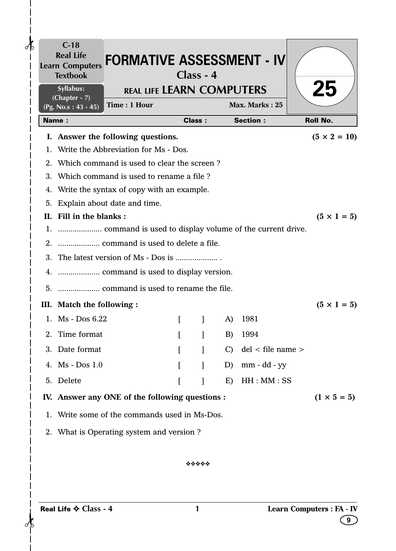|                | Syllabus:<br>$(Chapter - 7)$ |                                                 | <b>REAL LIFE LEARN COMPUTERS</b> |               |               |                   | 25                  |
|----------------|------------------------------|-------------------------------------------------|----------------------------------|---------------|---------------|-------------------|---------------------|
|                | $(Pg. No.s: 43 - 45)$        | Time: 1 Hour                                    |                                  |               |               | Max. Marks: 25    |                     |
|                | <b>Name:</b>                 |                                                 |                                  | <b>Class:</b> |               | <b>Section:</b>   | <b>Roll No.</b>     |
|                |                              | I. Answer the following questions.              |                                  |               |               |                   | $(5 \times 2 = 10)$ |
| $\mathbf{1}$ . |                              | Write the Abbreviation for Ms - Dos.            |                                  |               |               |                   |                     |
|                |                              | 2. Which command is used to clear the screen?   |                                  |               |               |                   |                     |
|                |                              | 3. Which command is used to rename a file?      |                                  |               |               |                   |                     |
| 4.             |                              | Write the syntax of copy with an example.       |                                  |               |               |                   |                     |
| 5.             |                              | Explain about date and time.                    |                                  |               |               |                   |                     |
|                | II. Fill in the blanks:      |                                                 |                                  |               |               |                   | $(5 \times 1 = 5)$  |
|                |                              |                                                 |                                  |               |               |                   |                     |
|                |                              |                                                 |                                  |               |               |                   |                     |
|                |                              |                                                 |                                  |               |               |                   |                     |
|                |                              |                                                 |                                  |               |               |                   |                     |
|                |                              |                                                 |                                  |               |               |                   |                     |
|                | III. Match the following :   |                                                 |                                  |               |               |                   | $(5 \times 1 = 5)$  |
|                | 1. Ms - Dos 6.22             |                                                 |                                  |               | A)            | 1981              |                     |
|                | 2. Time format               |                                                 |                                  |               | B)            | 1994              |                     |
|                | 3. Date format               |                                                 |                                  |               | $\mathcal{C}$ | del < file name > |                     |
|                | 4. Ms - Dos 1.0              |                                                 | $\lceil$                         |               | D)            | $mm - dd - yy$    |                     |
|                | 5. Delete                    |                                                 |                                  |               | E)            | HH:MM:SS          |                     |
|                |                              | IV. Answer any ONE of the following questions : |                                  |               |               |                   | $(1 \times 5 = 5)$  |
|                |                              | 1. Write some of the commands used in Ms-Dos.   |                                  |               |               |                   |                     |
|                |                              | 2. What is Operating system and version?        |                                  |               |               |                   |                     |
|                |                              |                                                 |                                  |               |               |                   |                     |
|                |                              |                                                 |                                  | *****         |               |                   |                     |

## ❖❖❖❖❖

 $\frac{1}{\sqrt{2\pi}}$ 

 $\mathbf l$  $\overline{\phantom{a}}$  $\mathsf{l}$  $\mathbf{I}$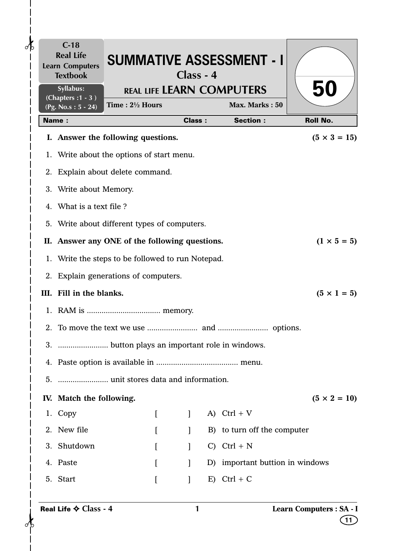|    | $C-18$<br><b>Real Life</b><br><b>Learn Computers</b><br><b>Textbook</b><br>Syllabus:<br>(Chapters: 1 - 3) | Time: $2\frac{1}{2}$ Hours                        | Class - 4     | <b>SUMMATIVE ASSESSMENT - I</b><br><b>REAL LIFE LEARN COMPUTERS</b><br>Max. Marks: 50 | 50                             |
|----|-----------------------------------------------------------------------------------------------------------|---------------------------------------------------|---------------|---------------------------------------------------------------------------------------|--------------------------------|
|    | $(Pg. No.s: 5 - 24)$<br><b>Name:</b>                                                                      |                                                   | <b>Class:</b> | <b>Section:</b>                                                                       | <b>Roll No.</b>                |
|    |                                                                                                           | I. Answer the following questions.                |               |                                                                                       | $(5 \times 3 = 15)$            |
|    |                                                                                                           | 1. Write about the options of start menu.         |               |                                                                                       |                                |
|    |                                                                                                           | 2. Explain about delete command.                  |               |                                                                                       |                                |
|    | 3. Write about Memory.                                                                                    |                                                   |               |                                                                                       |                                |
|    | 4. What is a text file?                                                                                   |                                                   |               |                                                                                       |                                |
| 5. |                                                                                                           | Write about different types of computers.         |               |                                                                                       |                                |
|    |                                                                                                           | II. Answer any ONE of the following questions.    |               |                                                                                       | $(1 \times 5 = 5)$             |
|    |                                                                                                           | 1. Write the steps to be followed to run Notepad. |               |                                                                                       |                                |
|    |                                                                                                           | 2. Explain generations of computers.              |               |                                                                                       |                                |
|    | III. Fill in the blanks.                                                                                  |                                                   |               |                                                                                       | $(5 \times 1 = 5)$             |
|    |                                                                                                           |                                                   |               |                                                                                       |                                |
|    |                                                                                                           |                                                   |               |                                                                                       |                                |
|    |                                                                                                           |                                                   |               |                                                                                       |                                |
|    |                                                                                                           |                                                   |               |                                                                                       |                                |
|    |                                                                                                           |                                                   |               |                                                                                       |                                |
|    | IV. Match the following.                                                                                  |                                                   |               |                                                                                       | $(5 \times 2 = 10)$            |
|    | 1. Copy                                                                                                   | L                                                 | $\mathbf{I}$  | A) $Ctrl + V$                                                                         |                                |
|    | 2. New file                                                                                               | ſ                                                 | $\mathbf{1}$  | B) to turn off the computer                                                           |                                |
|    | 3. Shutdown                                                                                               | L                                                 | $\mathbf{1}$  | $C)$ Ctrl + N                                                                         |                                |
|    | 4. Paste                                                                                                  | $\Gamma$                                          | $\mathbf{I}$  | D) important buttion in windows                                                       |                                |
|    | 5. Start                                                                                                  | $\Gamma$                                          | $\mathbf{I}$  | $E)$ Ctrl + C                                                                         |                                |
|    | Real Life ♦ Class - 4                                                                                     |                                                   | 1             |                                                                                       | Learn Computers : SA - I<br>11 |

 $\frac{1}{1}$ 

 $\mathbf{I}$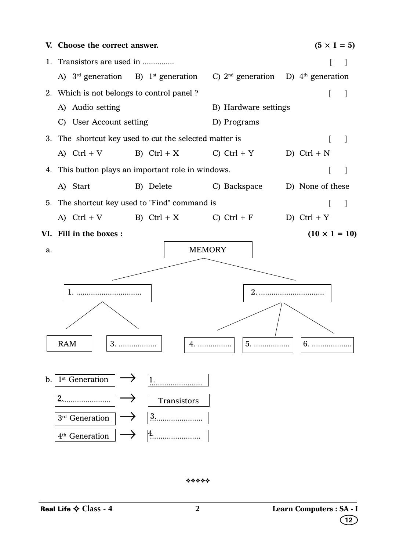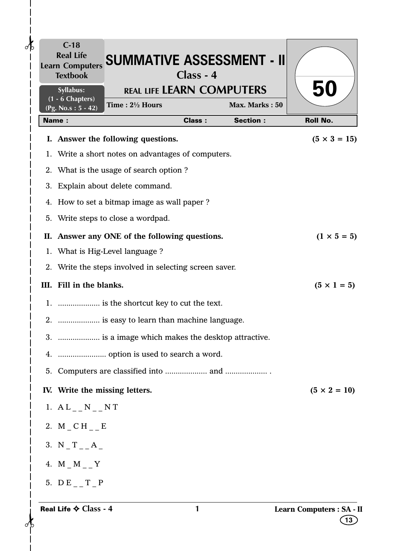|              | $C-18$<br><b>Textbook</b>       | Learn Computers SUMMATIVE ASSESSMENT - II                                                    | Class - 4     |                                   |                                |
|--------------|---------------------------------|----------------------------------------------------------------------------------------------|---------------|-----------------------------------|--------------------------------|
|              | Syllabus:<br>$(1 - 6$ Chapters) | <b>REAL LIFE LEARN COMPUTERS</b>                                                             |               |                                   | 50                             |
| <b>Name:</b> | (Pg. No.s: 5 - 42)              | Time: 21/2 Hours                                                                             | <b>Class:</b> | Max. Marks: 50<br><b>Section:</b> | <b>Roll No.</b>                |
|              |                                 |                                                                                              |               |                                   |                                |
|              |                                 | I. Answer the following questions.                                                           |               |                                   | $(5 \times 3 = 15)$            |
|              |                                 | 1. Write a short notes on advantages of computers.<br>2. What is the usage of search option? |               |                                   |                                |
|              |                                 | 3. Explain about delete command.                                                             |               |                                   |                                |
|              |                                 | 4. How to set a bitmap image as wall paper?                                                  |               |                                   |                                |
|              |                                 | 5. Write steps to close a wordpad.                                                           |               |                                   |                                |
|              |                                 | II. Answer any ONE of the following questions.                                               |               |                                   | $(1 \times 5 = 5)$             |
|              |                                 | 1. What is Hig-Level language ?                                                              |               |                                   |                                |
|              |                                 | 2. Write the steps involved in selecting screen saver.                                       |               |                                   |                                |
|              | III. Fill in the blanks.        |                                                                                              |               |                                   | $(5 \times 1 = 5)$             |
|              |                                 |                                                                                              |               |                                   |                                |
|              |                                 | 2.  is easy to learn than machine language.                                                  |               |                                   |                                |
|              |                                 | 3.  is a image which makes the desktop attractive.                                           |               |                                   |                                |
|              |                                 |                                                                                              |               |                                   |                                |
|              |                                 |                                                                                              |               |                                   |                                |
|              |                                 | IV. Write the missing letters.                                                               |               |                                   | $(5 \times 2 = 10)$            |
|              | 1. $AL_{--}N_{--}NT$            |                                                                                              |               |                                   |                                |
|              | 2. $M\_CH\_E$                   |                                                                                              |               |                                   |                                |
|              | 3. $N_T_L_A$                    |                                                                                              |               |                                   |                                |
|              | 4. $M_M_M$ – Y                  |                                                                                              |               |                                   |                                |
|              | 5. $DE_\text{--}T_\text{--}P$   |                                                                                              |               |                                   |                                |
|              | Real Life $\diamond$ Class - 4  |                                                                                              | 1             |                                   | Learn Computers : SA - I<br>13 |

 $\mathbf l$  $\mathsf{l}$  $\mathbf l$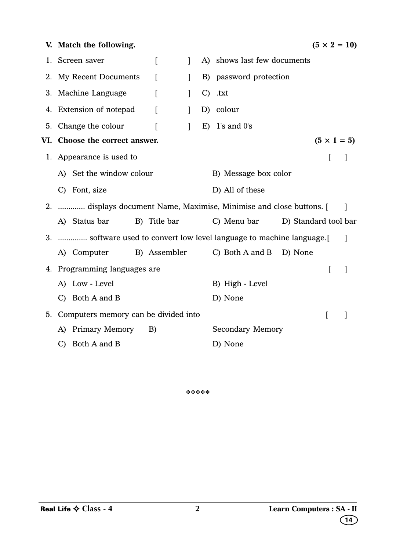|    | V. Match the following.                                              |                  |              |    |                             |                      | $(5 \times 2 = 10)$ |                          |
|----|----------------------------------------------------------------------|------------------|--------------|----|-----------------------------|----------------------|---------------------|--------------------------|
|    | 1. Screen saver                                                      | $\left[ \right]$ | $\mathbf{I}$ |    | A) shows last few documents |                      |                     |                          |
|    | 2. My Recent Documents                                               | ſ                | $\mathbf{I}$ |    | B) password protection      |                      |                     |                          |
|    | 3. Machine Language                                                  | ſ                | $\mathbf{I}$ |    | $C)$ .txt                   |                      |                     |                          |
|    | 4. Extension of notepad                                              | $\overline{ }$   | $\mathbf{1}$ |    | D) colour                   |                      |                     |                          |
|    | 5. Change the colour                                                 | ſ                | $\mathbf{1}$ | E) | $1$ 's and $0$ 's           |                      |                     |                          |
|    | VI. Choose the correct answer.                                       |                  |              |    |                             |                      | $(5 \times 1 = 5)$  |                          |
|    | 1. Appearance is used to                                             |                  |              |    |                             |                      | ſ                   |                          |
|    | A) Set the window colour                                             |                  |              |    | B) Message box color        |                      |                     |                          |
|    | C) Font, size                                                        |                  |              |    | D) All of these             |                      |                     |                          |
|    | 2.  displays document Name, Maximise, Minimise and close buttons. [  |                  |              |    |                             |                      |                     | $\overline{\phantom{a}}$ |
|    | A) Status bar                                                        | B) Title bar     |              |    | C) Menu bar                 | D) Standard tool bar |                     |                          |
|    | 3.  software used to convert low level language to machine language. |                  |              |    |                             |                      |                     | $\overline{\phantom{a}}$ |
|    | A) Computer                                                          | B) Assembler     |              |    | C) Both A and B D) None     |                      |                     |                          |
|    | 4. Programming languages are                                         |                  |              |    |                             |                      | L                   | $\mathbf{I}$             |
|    | A) Low - Level                                                       |                  |              |    | B) High - Level             |                      |                     |                          |
|    | C) Both A and B                                                      |                  |              |    | D) None                     |                      |                     |                          |
| 5. | Computers memory can be divided into                                 |                  |              |    |                             |                      | I                   |                          |
|    | A) Primary Memory                                                    | B)               |              |    | <b>Secondary Memory</b>     |                      |                     |                          |
|    | $C)$ Both A and B                                                    |                  |              |    | D) None                     |                      |                     |                          |

❖❖❖❖❖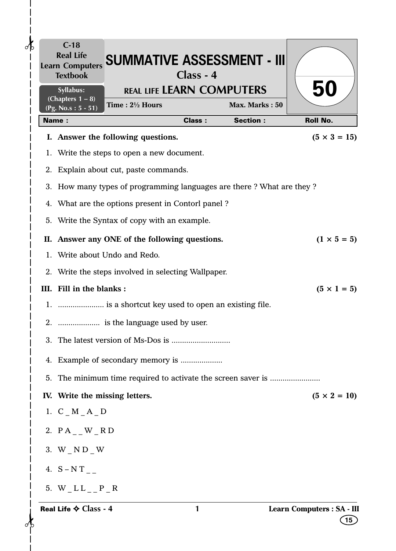| $\partial\mathbf{b}$ |    | $C-18$<br><b>Real Life</b><br><b>Learn Computers</b><br><b>Textbook</b> | <b>SUMMATIVE ASSESSMENT - III</b>                                    | Class - 4     |                 |                                  |
|----------------------|----|-------------------------------------------------------------------------|----------------------------------------------------------------------|---------------|-----------------|----------------------------------|
|                      |    | <b>Syllabus:</b><br>(Chapters $1 - 8$ )                                 | <b>REAL LIFE LEARN COMPUTERS</b><br>Time: 21/2 Hours                 |               | Max. Marks: 50  | 50                               |
|                      |    | (Pg. No.s: $5 - 51$ )<br><b>Name:</b>                                   |                                                                      | <b>Class:</b> | <b>Section:</b> | <b>Roll No.</b>                  |
|                      |    |                                                                         | I. Answer the following questions.                                   |               |                 | $(5 \times 3 = 15)$              |
|                      |    |                                                                         | 1. Write the steps to open a new document.                           |               |                 |                                  |
|                      |    |                                                                         | 2. Explain about cut, paste commands.                                |               |                 |                                  |
|                      |    |                                                                         | 3. How many types of programming languages are there? What are they? |               |                 |                                  |
|                      |    |                                                                         | 4. What are the options present in Contorl panel?                    |               |                 |                                  |
|                      |    |                                                                         | 5. Write the Syntax of copy with an example.                         |               |                 |                                  |
|                      |    |                                                                         | II. Answer any ONE of the following questions.                       |               |                 | $(1 \times 5 = 5)$               |
|                      |    |                                                                         | 1. Write about Undo and Redo.                                        |               |                 |                                  |
|                      |    |                                                                         | 2. Write the steps involved in selecting Wallpaper.                  |               |                 |                                  |
|                      |    | III. Fill in the blanks:                                                |                                                                      |               |                 | $(5 \times 1 = 5)$               |
|                      |    |                                                                         | 1.  is a shortcut key used to open an existing file.                 |               |                 |                                  |
|                      |    |                                                                         |                                                                      |               |                 |                                  |
|                      | 3. |                                                                         | The latest version of Ms-Dos is                                      |               |                 |                                  |
|                      |    |                                                                         |                                                                      |               |                 |                                  |
|                      |    |                                                                         |                                                                      |               |                 |                                  |
|                      |    | IV. Write the missing letters.                                          |                                                                      |               |                 | $(5 \times 2 = 10)$              |
|                      |    | 1. $C_M_A_A_D$                                                          |                                                                      |               |                 |                                  |
|                      |    | 2. $PA_$ $W_RD$                                                         |                                                                      |               |                 |                                  |
|                      |    | 3. $W_N D_W$                                                            |                                                                      |               |                 |                                  |
|                      |    | 4. $S-NT_{-}$                                                           |                                                                      |               |                 |                                  |
|                      |    |                                                                         |                                                                      |               |                 |                                  |
|                      |    | 5. $W_LL_{L_P}P_R$                                                      |                                                                      |               |                 |                                  |
|                      |    | Real Life $\diamond$ Class - 4                                          |                                                                      | 1             |                 | Learn Computers : SA - III<br>15 |

 $\mathbf I$  $\overline{\phantom{a}}$  $\mathbf l$  $\mathsf{l}$ 

**15**